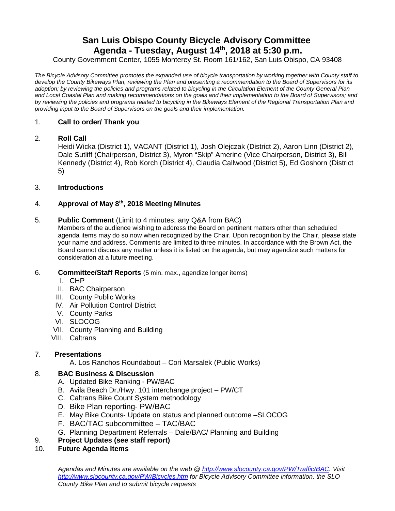# **San Luis Obispo County Bicycle Advisory Committee Agenda - Tuesday, August 14 th, 2018 at 5:30 p.m.**

County Government Center, 1055 Monterey St. Room 161/162, San Luis Obispo, CA 93408

*The Bicycle Advisory Committee promotes the expanded use of bicycle transportation by working together with County staff to develop the County Bikeways Plan, reviewing the Plan and presenting a recommendation to the Board of Supervisors for its adoption; by reviewing the policies and programs related to bicycling in the Circulation Element of the County General Plan and Local Coastal Plan and making recommendations on the goals and their implementation to the Board of Supervisors; and by reviewing the policies and programs related to bicycling in the Bikeways Element of the Regional Transportation Plan and providing input to the Board of Supervisors on the goals and their implementation.*

## 1. **Call to order/ Thank you**

### 2. **Roll Call**

Heidi Wicka (District 1), VACANT (District 1), Josh Olejczak (District 2), Aaron Linn (District 2), Dale Sutliff (Chairperson, District 3), Myron "Skip" Amerine (Vice Chairperson, District 3), Bill Kennedy (District 4), Rob Korch (District 4), Claudia Callwood (District 5), Ed Goshorn (District 5)

## 3. **Introductions**

## 4. **Approval of May 8th, 2018 Meeting Minutes**

### 5. **Public Comment** (Limit to 4 minutes; any Q&A from BAC)

Members of the audience wishing to address the Board on pertinent matters other than scheduled agenda items may do so now when recognized by the Chair. Upon recognition by the Chair, please state your name and address. Comments are limited to three minutes. In accordance with the Brown Act, the Board cannot discuss any matter unless it is listed on the agenda, but may agendize such matters for consideration at a future meeting.

- 6. **Committee/Staff Reports** (5 min. max., agendize longer items)
	- I. CHP
	- II. BAC Chairperson
	- III. County Public Works
	- IV. Air Pollution Control District
	- V. County Parks
	- VI. SLOCOG
	- VII. County Planning and Building
	- VIII. Caltrans

# 7. **Presentations**

A. Los Ranchos Roundabout – Cori Marsalek (Public Works)

# 8. **BAC Business & Discussion**

- A. Updated Bike Ranking PW/BAC
- B. Avila Beach Dr./Hwy. 101 interchange project PW/CT
- C. Caltrans Bike Count System methodology
- D. Bike Plan reporting- PW/BAC
- E. May Bike Counts- Update on status and planned outcome –SLOCOG
- F. BAC/TAC subcommittee TAC/BAC
- G. Planning Department Referrals Dale/BAC/ Planning and Building

# 9. **Project Updates (see staff report)**

10. **Future Agenda Items**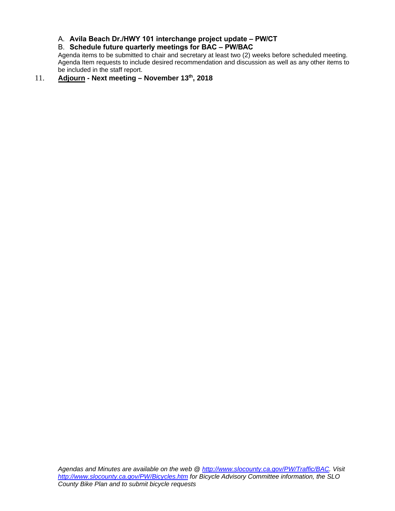A. **Avila Beach Dr./HWY 101 interchange project update – PW/CT**

# B. **Schedule future quarterly meetings for BAC – PW/BAC**

Agenda items to be submitted to chair and secretary at least two (2) weeks before scheduled meeting. Agenda Item requests to include desired recommendation and discussion as well as any other items to be included in the staff report.

# 11. **Adjourn - Next meeting – November 13th , 2018**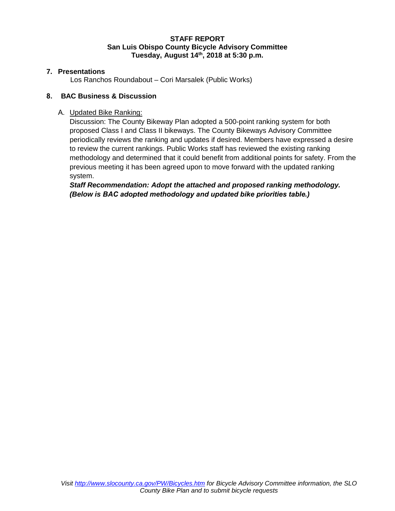# **STAFF REPORT San Luis Obispo County Bicycle Advisory Committee Tuesday, August 14th, 2018 at 5:30 p.m.**

# **7. Presentations**

Los Ranchos Roundabout – Cori Marsalek (Public Works)

# **8. BAC Business & Discussion**

# A. Updated Bike Ranking:

Discussion: The County Bikeway Plan adopted a 500-point ranking system for both proposed Class I and Class II bikeways. The County Bikeways Advisory Committee periodically reviews the ranking and updates if desired. Members have expressed a desire to review the current rankings. Public Works staff has reviewed the existing ranking methodology and determined that it could benefit from additional points for safety. From the previous meeting it has been agreed upon to move forward with the updated ranking system.

*Staff Recommendation: Adopt the attached and proposed ranking methodology. (Below is BAC adopted methodology and updated bike priorities table.)*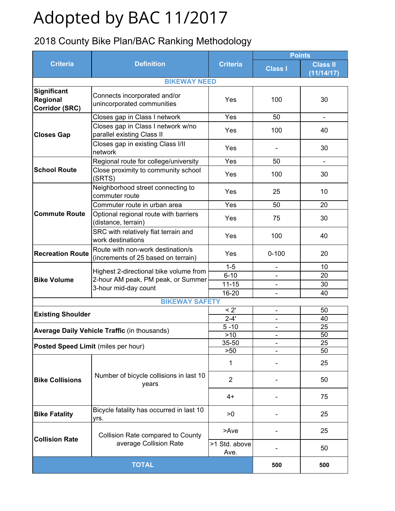# Adopted by BAC 11/2017

# 2018 County Bike Plan/BAC Ranking Methodology

|                                                  |                                                                          |                                                                                                                                                                                                                                                                                    |                | <b>Points</b>                 |  |  |
|--------------------------------------------------|--------------------------------------------------------------------------|------------------------------------------------------------------------------------------------------------------------------------------------------------------------------------------------------------------------------------------------------------------------------------|----------------|-------------------------------|--|--|
| <b>Criteria</b>                                  | <b>Definition</b>                                                        | <b>Criteria</b>                                                                                                                                                                                                                                                                    | <b>Class I</b> | <b>Class II</b><br>(11/14/17) |  |  |
|                                                  |                                                                          |                                                                                                                                                                                                                                                                                    |                |                               |  |  |
| Significant<br>Regional<br><b>Corridor (SRC)</b> | Connects incorporated and/or<br>unincorporated communities               | Yes                                                                                                                                                                                                                                                                                | 100            | 30                            |  |  |
|                                                  | Closes gap in Class I network                                            | Yes                                                                                                                                                                                                                                                                                | 50             | $\blacksquare$                |  |  |
| <b>Closes Gap</b>                                | Closes gap in Class I network w/no<br>parallel existing Class II         | Yes                                                                                                                                                                                                                                                                                | 100            | 40                            |  |  |
|                                                  | Closes gap in existing Class I/II<br>network                             | Yes                                                                                                                                                                                                                                                                                |                | 30                            |  |  |
|                                                  | Regional route for college/university                                    | Yes                                                                                                                                                                                                                                                                                | 50             | $\blacksquare$                |  |  |
| <b>School Route</b>                              | Close proximity to community school<br>(SRTS)                            | Yes                                                                                                                                                                                                                                                                                | 100            | 30                            |  |  |
|                                                  | Neighborhood street connecting to<br>commuter route                      | Yes                                                                                                                                                                                                                                                                                | 25             | 10                            |  |  |
|                                                  | Commuter route in urban area                                             |                                                                                                                                                                                                                                                                                    |                | 20                            |  |  |
| <b>Commute Route</b>                             | Optional regional route with barriers<br>(distance, terrain)             | Yes                                                                                                                                                                                                                                                                                | 75             | 30                            |  |  |
|                                                  | SRC with relatively flat terrain and<br>work destinations                | Yes                                                                                                                                                                                                                                                                                | 100            | 40                            |  |  |
| <b>Recreation Route</b>                          | Route with non-work destination/s<br>(increments of 25 based on terrain) | Yes                                                                                                                                                                                                                                                                                | $0 - 100$      | 20                            |  |  |
|                                                  |                                                                          | $1 - 5$                                                                                                                                                                                                                                                                            |                | 10                            |  |  |
| <b>Bike Volume</b>                               | Highest 2-directional bike volume from                                   | $6 - 10$                                                                                                                                                                                                                                                                           |                | 20                            |  |  |
|                                                  | 2-hour AM peak, PM peak, or Summer<br>3-hour mid-day count               | <b>BIKEWAY NEED</b><br>Yes<br>50<br>$11 - 15$<br>$\overline{\phantom{a}}$<br>16-20<br><b>BIKEWAY SAFETY</b><br>< 2'<br>$\blacksquare$<br>$2 - 4'$<br>$5 - 10$<br>$>10$<br>$\overline{\phantom{a}}$<br>35-50<br>>50<br>1<br>2<br>$4+$<br>>0<br>>Ave<br>>1 Std. above<br>Ave.<br>500 | 30             |                               |  |  |
|                                                  |                                                                          |                                                                                                                                                                                                                                                                                    |                | 40                            |  |  |
|                                                  |                                                                          |                                                                                                                                                                                                                                                                                    |                |                               |  |  |
| <b>Existing Shoulder</b>                         |                                                                          |                                                                                                                                                                                                                                                                                    |                | 50                            |  |  |
|                                                  |                                                                          |                                                                                                                                                                                                                                                                                    |                | 40                            |  |  |
|                                                  | <b>Average Daily Vehicle Traffic (in thousands)</b>                      |                                                                                                                                                                                                                                                                                    |                | 25                            |  |  |
|                                                  |                                                                          |                                                                                                                                                                                                                                                                                    |                | 50                            |  |  |
| Posted Speed Limit (miles per hour)              |                                                                          |                                                                                                                                                                                                                                                                                    |                | 25                            |  |  |
|                                                  |                                                                          |                                                                                                                                                                                                                                                                                    |                | 50                            |  |  |
|                                                  |                                                                          |                                                                                                                                                                                                                                                                                    |                | 25                            |  |  |
| <b>Bike Collisions</b>                           | Number of bicycle collisions in last 10<br>years                         |                                                                                                                                                                                                                                                                                    |                | 50                            |  |  |
|                                                  |                                                                          |                                                                                                                                                                                                                                                                                    |                | 75                            |  |  |
| <b>Bike Fatality</b>                             | Bicycle fatality has occurred in last 10<br>yrs.                         |                                                                                                                                                                                                                                                                                    |                | 25                            |  |  |
| <b>Collision Rate</b>                            | <b>Collision Rate compared to County</b>                                 |                                                                                                                                                                                                                                                                                    |                | 25                            |  |  |
|                                                  | average Collision Rate                                                   |                                                                                                                                                                                                                                                                                    |                | 50                            |  |  |
|                                                  | <b>TOTAL</b>                                                             |                                                                                                                                                                                                                                                                                    |                | 500                           |  |  |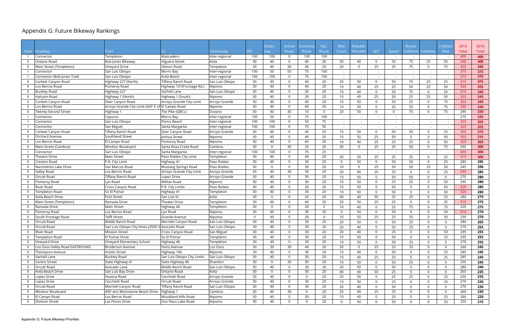# Appendix G: Future Bikeway Rankings

|              |                                |                                                   |                                  |                           |                 | Closes         | School         | .cmmut   | Rec.           | <b>Bike</b>    | Rideable    |                |          | <b>Bicycle</b> |                | Collision | 2015         | 2018  |
|--------------|--------------------------------|---------------------------------------------------|----------------------------------|---------------------------|-----------------|----------------|----------------|----------|----------------|----------------|-------------|----------------|----------|----------------|----------------|-----------|--------------|-------|
| <b>Class</b> | Roadway                        | <b>rom</b>                                        |                                  | ommunity.                 | SRC             | Gap            | Route          | Route    | Route          | Count          | Shoulde     | <b>ADT</b>     | Speed    | Collsiions     | Fatalities     | Rate      | <b>Total</b> | Total |
|              | Connector                      | Templeton                                         | Atascadero                       | Inter-regional            | 100             | 100            | $\Omega$       | 100      | 100            |                |             |                |          |                |                |           | 400          | 400   |
|              | <b>Ontario Road</b>            | Bob Jones Bikeway                                 | Higuera Street                   | Avila                     | 30              | 40             | 0              | 40       | 20             | 30             | 40          | $\Omega$       | 50       | 75             | 25             | 50        | 340          | 400   |
|              | Main Street (Templeton)        | Vineyard Drive                                    | Gibson Road                      | Templeton                 | 30              | 40             | 30             | 40       | 20             | 20             | $\mathbf 0$ | 25             | 25       | 75             | $\overline{0}$ | 75        | 355          | 380   |
|              | Connector                      | San Luis Obispo                                   | Morro Bay                        | Inter-regional            | 100             | 50             | 50             | 75       | 100            |                |             |                |          |                |                |           | 375          | 375   |
|              | Connector (Bob Jones Trail)    | San Luis Obispo                                   | Avila Beach                      | Inter-regional            | 100             | 100            | $\Omega$       | 75       | 100            |                |             |                |          |                |                |           | 375          | 375   |
|              | Corbett Canyon Road            | Highway 227 (North)                               | Tiffany Ranch Road               | San Luis Obispo           | 30              | 40             | $\mathbf{0}$   | 40       | 20             | 20             | 50          | $\mathbf{0}$   | 50       | 75             | 25             | 25        | 315          | 375   |
|              | Los Berros Road                | Pomeroy Road                                      | Highway 101(Frontage Rd.)        | Nipomo                    | 30              | 40             | $\mathbf 0$    | 40       | 20             | 10             | 40          | 25             | 25       | 50             | 25             | 50        | 320          | 355   |
|              | <b>Buckley Road</b>            | Highway 227                                       | Vachell Lane                     | San Luis Obispo           | 30              | 40             | $\mathbf 0$    | 30       | 20             | 10             | 40          | $\mathbf{0}$   | 50       | 75             | $\overline{0}$ | 50        | 310          | 345   |
|              | Halcyon Road                   | Highway 1 (North)                                 | Highway 1 (South)                | Nipomo                    | 30              | 40             | $\mathbf 0$    | 30       | 20             | 10             | 40          | 25             | 50       | 25             | 25             | 50        | 335          | 345   |
|              | Corbett Canyon Road            | Deer Canyon Road                                  | Arroyo Grande City Limit         | Arroyo Grande             | 30              | 40             | $\mathbf 0$    | 40       | 20             | 10             | 50          | $\mathbf{0}$   | 50       | 25             | $\Omega$       | 75        | 355          | 340   |
|              | Los Berros Road                | Arroyo Grande City Limit (600' E of El Campo Road |                                  | Nipomo                    | 30              | 40             | $\mathbf{0}$   | 40       | 20             | 10             | 50          | $\mathbf{0}$   | 25       | 50             | $\Omega$       | 75        | 330          | 340   |
|              | Twenty-Second Street           | Highway 1                                         | The Pike (GBCL)                  | Oceano                    | 30              | 40             | 30             | 10       | $\overline{0}$ | 20             | 50          | $\Omega$       | $\Omega$ | 75             | $\overline{0}$ | 75        | 295          | 330   |
|              | Connector                      | Cayucos                                           | Morro Bay                        | Inter-regional            | 100             | 50             | $\mathbf 0$    | 75       | 100            |                |             |                |          |                |                |           | 270          | 325   |
|              | Connector                      | San Luis Obispo                                   | Pismo Beach                      | Inter-regional            | 100             | 100            | $\mathbf 0$    | 50       | 75             |                |             |                |          |                |                |           | 325          | 325   |
|              | Connector                      | San Miguel                                        | Santa Margarita                  | Inter-regional            | 100             | 100            | $\mathbf{0}$   | 75       | 50             |                |             |                |          |                |                |           | 325          | 325   |
|              | Corbett Canyon Road            | <b>Tiffany Ranch Road</b>                         | Deer Canyon Road                 | Arroyo Grande             | 30              | 40             | $\mathbf{0}$   | 40       | 20             | 10             | 50          | $\mathbf{0}$   | 50       | 50             | $\Omega$       | 25        | 305          | 315   |
|              | <b>Orchard Avenue</b>          | Southland Street                                  | Joshua Street                    | Nipomo                    | 30              | 40             | $\mathbf{0}$   | 40       | 20             | 10             | 50          | 25             | 50       | $\Omega$       | $\Omega$       | 50        | 355          | 315   |
|              | Los Berros Road                | El Campo Road                                     | Pomeroy Road                     | Nipomo                    | 30              | 40             | $\mathbf 0$    | 40       | 20             | 10             | 40          | 25             | 25       | 25             | $\Omega$       | 50        | 320          | 305   |
|              | Main Street (Cambria)          | Windsor Boulevard                                 | Santa Rosa Creek Road            | Cambria                   | 30              | $\mathbf 0$    | 30             | 20       | 20             | 30             | $\mathbf 0$ | 25             | 25       | 50             | $\overline{0}$ | 75        | 295          | 305   |
|              | Connector                      | San Luis Obispo                                   | Santa Margarita                  | Inter-regional            | 100             | 100            | 0              | 75       | 25             |                |             |                |          |                |                |           | 300          | 300   |
|              | Theatre Drive                  | <b>Main Street</b>                                | Paso Robles City Limit           | Templeton                 | 30              | 40             | $\mathbf{0}$   | 40       | 20             | 20             | 50          | 25             | 25       | 25             | $\Omega$       | 25        | 315          | 300   |
|              | <b>Creston Road</b>            | P.R. City Limit                                   | Highway 41                       | Paso Robles               | 30              | 40             | $\mathbf{0}$   | 30       | 20             | $\overline{0}$ | 50          | $\mathbf{0}$   | 50       | 50             | $\Omega$       | 25        | 285          | 295   |
|              | Nacimiento Lake Drive          | San Marcos Road                                   | Mustang Springs Road             | Paso Robles               | 30              | $\mathbf 0$    | $\mathbf 0$    | 30       | 20             | 10             | $\mathbf 0$ | 25             | 50       | 50             | 25             | 50        | 245          | 290   |
|              | Valley Road                    | Los Berros Road                                   | Arroyo Grande City Limit         | Arroyo Grande             | 30              | 40             | 30             | 30       | 20             | 20             | 40          | 25             | 25       | $\Omega$       | $\Omega$       | 25        | 335          | 285   |
|              | Orcutt Road                    | Tiffany Ranch Road                                | Lopez Drive                      | Arroyo Grande             | 30              | 40             | $\Omega$       | 30       | 20             | 10             | 50          | $\mathbf{0}$   | 50       | 50             | $\Omega$       |           | 270          | 280   |
|              | Pomeroy Road                   | Lyn Road                                          | Willow Road                      | Nipomo                    | 30              | 40             | $\mathbf{0}$   | 30       | 20             | 10             | 50          | $\mathbf{0}$   | 25       | 25             | $\Omega$       | 50        | 295          | 280   |
|              | <b>River Road</b>              | Cross Canyon Road                                 | P.R. City Limits                 | Paso Robles               | 30              | 40             | $\mathbf{0}$   | 30       | 20             | 10             | 50          | $\mathbf{0}$   | 50       | $\Omega$       | $\Omega$       | 50        | 320          | 280   |
|              | <b>Templeton Road</b>          | So El Pomar                                       | Highway 41                       | Templeton                 | 30              | 40             | $\mathbf 0$    | 30       | 20             | 10             | 50          | $\mathbf{0}$   | 50       | $\Omega$       | $\Omega$       | 50        | 320          | 280   |
|              | Avila Beach Drive              | <b>First Street</b>                               | San Luis St                      | Avila                     | 30              | $\mathbf 0$    | $\mathbf 0$    | 20       | 20             | 40             | 40          | 50             | 25       | 25             | $\Omega$       | 25        | 280          | 275   |
|              | Main Street (Templeton)        | Ramada Drive                                      | Theater Drive                    | Templeton                 | 30              | 40             | $\Omega$       | 40       | 20             | 20             | 50          | 25             | 25       | $\Omega$       | $\Omega$       | 25        | 315          | 275   |
|              | Ramada Drive                   | <b>Main Street</b>                                | Highway 46                       |                           | 30              | $\mathbf 0$    | $\Omega$       | 20       | $\overline{0}$ | 10             | 40          | $\mathbf{0}$   | 25       | 75             | $\Omega$       | 75        | 220          | 275   |
|              | Pomeroy Road                   | Los Berros Road                                   | Lyn Road                         | Templeton<br>Nipomo       | 30              | 40             | $\Omega$       | 30       | 20             | $\overline{0}$ | 50          | $\mathbf{0}$   | 50       | $\Omega$       | $\Omega$       | 50        | 310          | 270   |
|              |                                | <b>Tefft Street</b>                               | Grande Avenue                    |                           | $\overline{0}$  | 40             | 0              | 20       | 0              | 10             |             |                |          |                | $\overline{0}$ |           | 230          | 270   |
|              | South Frontage Road            | Biddle Ranch Road                                 | Morretti Canyon Road             | Nipomo<br>San Luis Obispo | 30              | 40             | 0              | 30       | 20             | 20             | 50          | 25<br>$\Omega$ | 25<br>50 | 50             | $\Omega$       | 50        | 280          |       |
|              | Orcutt Road                    | San Luis Obispo City limits (2500' E Avocado Road |                                  |                           |                 |                |                |          |                |                | 50          |                |          | 25             |                |           | 270          | 265   |
| $\mathbf{H}$ | Orcutt Road                    |                                                   |                                  | San Luis Obispo           | 30 <sup>°</sup> | 40             | 0              | 30       | 20             | 20             | 40          |                | 50       | 25             | $\mathbf 0$    | 0         |              | 255   |
| - 11         | <b>River Road</b>              | <b>Mission Street</b>                             | Cross Canyon Road<br>So El Pomar | San Miguel                | 30              | 40             | $\overline{0}$ | 30       | 20             | 20             | 40          | $\Omega$       | 25       | $\overline{0}$ | $\Omega$       | 50        | 295          | 255   |
|              | Templeton Road                 | El Pomar Drive                                    |                                  | Templeton                 | 30              | 40             | $\overline{0}$ | 30       | 20             | 10             | 50          | $\Omega$       | 50       | $\overline{0}$ | $\Omega$       | 25        | 295          | 255   |
|              | Vineyard Drive                 | Vineyard Elementary School                        | Highway 46                       | Templeton                 | 30              | 40             | $\overline{0}$ | 30       | 20             | 10             | 50          | $\mathbf 0$    | 50       | 25             | $\Omega$       |           | 270          | 255   |
|              | Los Osos Valley Road EASTBOUND | <b>Broderson Avenue</b>                           | Doris Avenue                     | Los Osos                  | 30              | 30             | 30             | 40       | 20             | 20             | $\mathbf 0$ | 25             | 25       | 25             | $\Omega$       |           | 260          | 245   |
|              | Thompson Avenue                | Knotts Street                                     | Highway 166                      | Nipomo                    | 30              | 40             | $\Omega$       | 30       | 20             | 10             | 40          | $\mathbf{0}$   | 50       | $\overline{0}$ | $\Omega$       | 25        | 285          | 245   |
|              | Vachell Lane                   | <b>Buckley Road</b>                               | San Luis Obispo City Limits      | San Luis Obispo           | 30              | 40             | $\mathbf{0}$   | 30       | 20             | 10             | 40          | 25             | 25       | $\overline{0}$ | $\Omega$       | 25        | 285          | 245   |
|              | <b>Centre Street</b>           | State Highway 41                                  | State Highway 46                 | Shandon                   | 30              | $\overline{0}$ | 30             | 30       | 20             | 10             | 50          | $\mathbf{0}$   | 50       | 25             | $\Omega$       |           | 255          | 245   |
|              | Orcutt Road                    | Avocado Lane                                      | <b>Biddle Ranch Road</b>         | San Luis Obispo           | 30              | 40             | $\mathbf{0}$   | 30       | 20             | 20             | 50          | $\mathbf 0$    | 50       | $\overline{0}$ | $\Omega$       |           | 280          | 240   |
|              | Avila Beach Drive              | San Luis Bay Drive                                | Ontario Road                     | Avila                     | 30              | $\Omega$       | 0              | 30       | 20             | 40             | 40          | 50             | 25       | $\overline{0}$ | $\Omega$       |           | 265          | 235   |
|              | Lopez Drive                    | Huasna Road                                       | Cecchetti Road                   | Arroyo Grande             | 30              | 40             | $\Omega$       | $\Omega$ | 20             | 20             | 50          | $\Omega$       | 25       | 25             | $\Omega$       | 25        | 250          | 235   |
|              | Lopez Drive                    | Cecchetti Road                                    | Orcutt Road                      | Arroyo Grande             | 30              | 40             | $\mathbf{0}$   | 30       | 20             | 10             | 50          | $\Omega$       | 25       | $\overline{0}$ | $\Omega$       | 25        | 270          | 230   |
|              | Orcutt Road                    | Morretti Canyon Road                              | Tiffany Ranch Road               | San Luis Obispo           | 30              | 40             | $\overline{0}$ | 30       | 20             | 20             | 40          | $\Omega$       | 50       | $\overline{0}$ | $\Omega$       |           | 270          | 230   |
|              | Windsor Boulevard              | 400' w/o Moonstone Beach Drive                    | Highway 1                        | Cambria                   | 30              | 40             | 30             | - 0      | 20             | 20             | 40          | 25             | 25       | $\overline{0}$ | $\Omega$       |           | 260          | 230   |
|              | El Campo Road                  | Los Berros Road                                   | Woodland Hills Road              | Nipomo                    | 30              | 40             | $\mathbf{0}$   | 30       | 20             | 10             | 40          | $\Omega$       | 25       | $\overline{0}$ | $\Omega$       | 25        | 260          | 220   |
|              | <b>Division Street</b>         | Las Flores Drive                                  | Oso Flaco Lake Road              | Nipomo                    | 30              | 40             | $\overline{0}$ | $\Omega$ | 20             | $\overline{0}$ | 50          | $\overline{0}$ | 50       | $\overline{0}$ | $\Omega$       | 25        | 255          | 215   |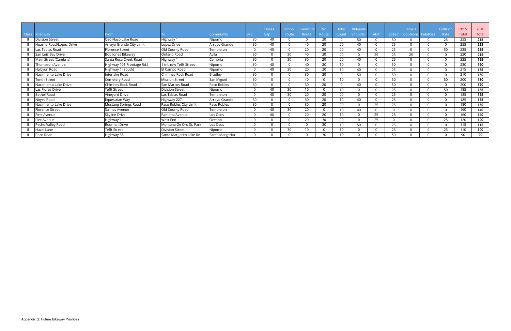|              |                         |                           |                         |                 |            |               |        |         |       | <b>Bike</b>  |          |            |       |          |                       |           |              |       |
|--------------|-------------------------|---------------------------|-------------------------|-----------------|------------|---------------|--------|---------|-------|--------------|----------|------------|-------|----------|-----------------------|-----------|--------------|-------|
|              |                         |                           |                         |                 |            | <b>Closes</b> | School | Commute | Rec.  |              | Rideable |            |       | Bicycle  |                       | Collision | 2015         | 2018  |
| <b>Class</b> | Roadway                 | From                      |                         | Iommunity       | <b>SRC</b> | Gap           | Route  | Route   | Route | Count        | Shoulde  | <b>ADT</b> | Speed |          | Collsiions Fatalities | Rate      | <b>Total</b> | Total |
|              | <b>Division Street</b>  | Oso Flaco Lake Road       | Highway 1               | Nipomo          | 30         | 40            |        |         | 20    |              | 50       |            | 50    | $\Omega$ |                       | 25        | 255          | 215   |
|              | Huasna Road/Lopez Drive | Arroyo Grande City Limit  | Lopez Drive             | Arroyo Grande   | 30         | 40            |        | 40      | 20    | 20           | 40       |            | 25    | $\Omega$ |                       |           | 255          | 215   |
|              | Las Tablas Road         | <b>Florence Street</b>    | Old County Road         | Templeton       | $\Omega$   | 40            |        | 20      | 20    | 20           | 40       |            | 25    |          |                       | 50        | 235          | 215   |
|              | San Luis Bay Drive      | Bob Jones Bikeway         | Ontario Road            | Avila           | 30         |               | 30     | 40      | 20    | 20           |          | 25         | 25    | 25       |                       |           | 230          | 215   |
|              | Main Street (Cambria)   | Santa Rosa Creek Road     | Highway 1               | Cambria         | 30         | $\cap$        | 30     | 30      | 20    | 20           | 40       |            | 25    | $\Omega$ |                       |           | 235          | 195   |
|              | Thompson Avenue         | Highway 101(Frontage Rd.) | mi. n/w Tefft Street    | Nipomo          | 30         | 40            |        | 40      | 20    | 10           |          |            | 50    |          |                       |           | 230          | 190   |
|              | Halcyon Road            | Highway 1 (South)         | El Campo Road           | Nipomo          |            | 40            | 30     | 20      | 20    | 10           | 40       |            | 25    | $\Omega$ |                       |           | 215          | 185   |
|              | Nacimiento Lake Drive   | Interlake Road            | Chimney Rock Road       | <b>Bradley</b>  | 30         |               |        | 30      | 20    |              | 50       |            | 50    | $\Omega$ |                       |           | 210          | 180   |
|              | Tenth Street            | Cemetery Road             | <b>Mission Street</b>   | San Miguel      | 30         |               |        | 40      |       | 10           |          |            | 50    | $\cap$   |                       | 50        | 200          | 180   |
|              | Nacimiento Lake Drive   | Chimney Rock Road         | San Marcos Road         | Paso Robles     | 30         |               |        | 30      | 20    | <sup>n</sup> | 40       |            | 50    | $\Omega$ |                       |           | 200          | 170   |
|              | Las Flores Drive        | Tefft Street              | <b>Division Street</b>  | Nipomo          |            | 40            | 30     |         |       | 10           |          |            | 25    |          |                       | 50        | 185          | 165   |
|              | <b>Bethel Road</b>      | Vinevard Drive            | Las Tablas Road         | Templeton       |            | 40            | 30     | 20      | 20    | 20           |          |            | 25    |          |                       |           | 185          | 155   |
|              | Noyes Road              | Equestrian Way            | Highway 227             | Arroyo Grande   | 30         |               |        | 30      | 20    | 10           | 40       |            | 25    | $\Omega$ |                       |           | 185          | 155   |
|              | Nacimiento Lake Drive   | Mustang Springs Road      | Paso Robles City Limit  | Paso Robles     | 30         |               |        | 30      | 20    | 20           |          | 25         | 25    |          |                       |           | 180          | 150   |
|              | Florence Street         | Salinas Avenue            | Old County Road         | Templeton       |            | 40            | 30     | 20      |       | 10           | 40       |            |       | $\cap$   |                       |           | 160          | 140   |
|              | Pine Avenue             | Skyline Drive             | Ramona Avenue           | Los Osos        | $\Omega$   | 40            |        | 20      | 20    | 10           |          | 25         | 25    |          |                       |           | 160          | 140   |
|              | Pier Avenue             | Highway 1                 | West End                | Oceano          |            |               |        | 20      | 30    | 20           |          | 25         |       |          |                       | 25        | 120          | 120   |
|              | Pecho Valley Road       | Rodman Drive              | Montana De Oro St. Park | Los Osos        |            |               |        |         | 30    | 10           | 50       |            | 25    | $\Omega$ |                       |           | 115          | 115   |
|              | Hazel Lane              | Tefft Street              | <b>Division Street</b>  | Nipomo          |            |               | 30     |         |       | 10           |          |            | 25    |          |                       | 25        | 110          | 100   |
|              | Pozo Road               | Highway 58                | Santa Margarita Lake Rd | Santa Margarita |            |               |        |         | 30    | 10           |          |            | 50    |          |                       |           | 90           | 90    |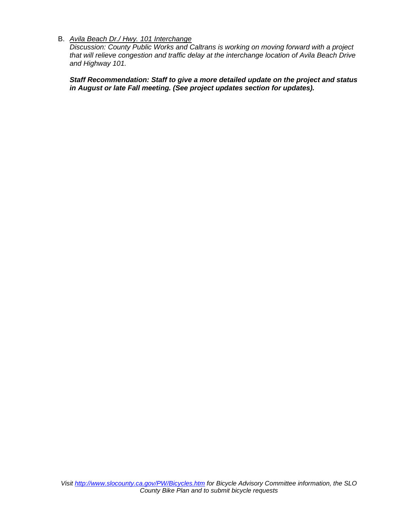# B. *Avila Beach Dr./ Hwy. 101 Interchange*

*Discussion: County Public Works and Caltrans is working on moving forward with a project that will relieve congestion and traffic delay at the interchange location of Avila Beach Drive and Highway 101.*

*Staff Recommendation: Staff to give a more detailed update on the project and status in August or late Fall meeting. (See project updates section for updates).*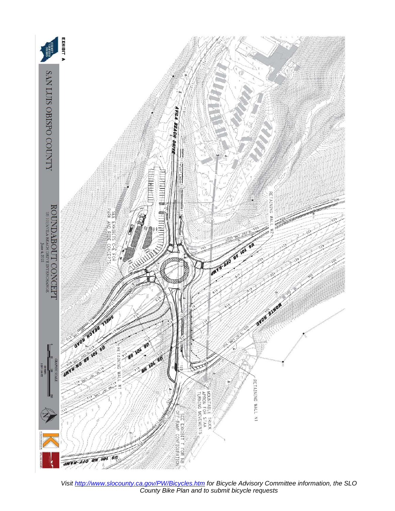

*Visit <http://www.slocounty.ca.gov/PW/Bicycles.htm> for Bicycle Advisory Committee information, the SLO County Bike Plan and to submit bicycle requests*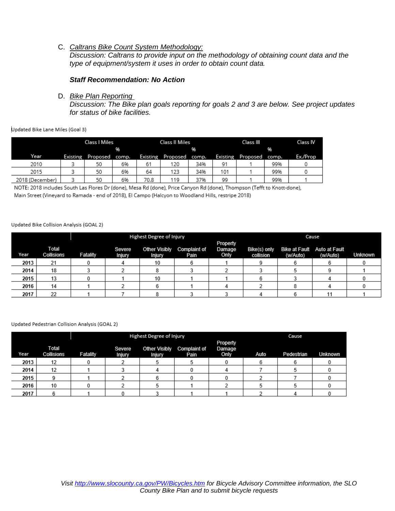# C. *Caltrans Bike Count System Methodology:*

*Discussion: Caltrans to provide input on the methodology of obtaining count data and the type of equipment/system it uses in order to obtain count data.*

### *Staff Recommendation: No Action*

## D. *Bike Plan Reporting*

*Discussion: The Bike plan goals reporting for goals 2 and 3 are below. See project updates for status of bike facilities.*

#### Updated Bike Lane Miles (Goal 3)

|                 | Class I Miles |          |       |          |                | Class II Miles |                 | Class III | Class IV |          |
|-----------------|---------------|----------|-------|----------|----------------|----------------|-----------------|-----------|----------|----------|
|                 |               |          | 96    |          |                | 96             |                 |           |          |          |
| Year            | Existing      | Proposed | comp. | Existing | Proposed comp. |                | <b>Existing</b> | Proposed  | comp.    | Ex./Prop |
| 2010            |               | 50       | 6%    | 61       | 120            | 34%            | 91              |           | 99%      |          |
| 2015            |               | 50       | 6%    | 64       | 123            | 34%            | 101             |           | 99%      |          |
| 2018 (December) |               | 50       | 6%    | 70.8     | 119            | 37%            | 99              |           | 99%      |          |

NOTE: 2018 includes South Las Flores Dr (done), Mesa Rd (done), Price Canyon Rd (done), Thompson (Tefft to Knott-done),

Main Street (Vineyard to Ramada - end of 2018), El Campo (Halcyon to Woodland Hills, restripe 2018)

#### Updated Bike Collision Analysis (GOAL 2)

|      |                            |          |                         | Highest Degree of Injury       |                             |                            | Cause                     |          |                                         |         |  |  |  |
|------|----------------------------|----------|-------------------------|--------------------------------|-----------------------------|----------------------------|---------------------------|----------|-----------------------------------------|---------|--|--|--|
| Year | <b>Total</b><br>Collisions | Fatality | Severe<br><b>Injury</b> | Other Visibly<br><b>Injury</b> | <b>Complaint of</b><br>Pain | Property<br>Damage<br>Only | Bike(s) only<br>collision | (w/Auto) | Bike at Fault Auto at Fault<br>(w/Auto) | Unknown |  |  |  |
| 2013 | 21                         |          |                         |                                |                             |                            |                           |          |                                         |         |  |  |  |
| 2014 | 18                         |          |                         |                                |                             |                            |                           |          |                                         |         |  |  |  |
| 2015 | 13                         |          |                         | 10                             |                             |                            |                           |          |                                         |         |  |  |  |
| 2016 | 14                         |          |                         |                                |                             |                            |                           |          |                                         |         |  |  |  |
| 2017 | าา<br>22                   |          |                         |                                |                             |                            |                           |          |                                         |         |  |  |  |

#### Updated Pedestrian Collision Analysis (GOAL 2)

|      |                     |          |                         | Highest Degree of Injury       | Cause                       |                            |      |            |         |  |  |
|------|---------------------|----------|-------------------------|--------------------------------|-----------------------------|----------------------------|------|------------|---------|--|--|
| Year | Total<br>Collisions | Fatality | Severe<br><b>Injury</b> | <b>Other Visibly</b><br>Injury | <b>Complaint of</b><br>Pain | Property<br>Damage<br>Only | Auto | Pedestrian | Unknown |  |  |
| 2013 | 12                  |          |                         |                                |                             |                            |      |            |         |  |  |
| 2014 | 12                  |          |                         |                                |                             |                            |      |            |         |  |  |
| 2015 |                     |          |                         |                                |                             |                            |      |            |         |  |  |
| 2016 | 10                  |          |                         |                                |                             |                            |      |            |         |  |  |
| 2017 |                     |          |                         |                                |                             |                            |      |            |         |  |  |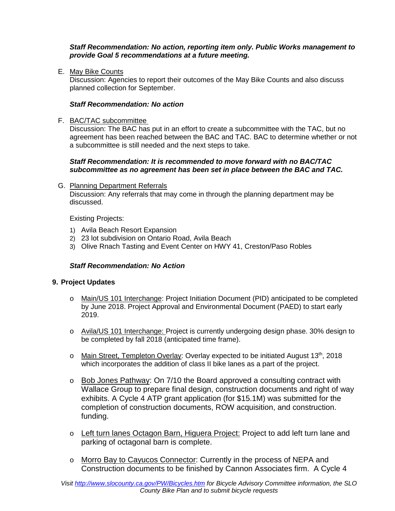*Staff Recommendation: No action, reporting item only. Public Works management to provide Goal 5 recommendations at a future meeting.* 

E. May Bike Counts

Discussion: Agencies to report their outcomes of the May Bike Counts and also discuss planned collection for September.

# *Staff Recommendation: No action*

# F. BAC/TAC subcommittee

Discussion: The BAC has put in an effort to create a subcommittee with the TAC, but no agreement has been reached between the BAC and TAC. BAC to determine whether or not a subcommittee is still needed and the next steps to take.

# *Staff Recommendation: It is recommended to move forward with no BAC/TAC subcommittee as no agreement has been set in place between the BAC and TAC.*

# G. Planning Department Referrals

Discussion: Any referrals that may come in through the planning department may be discussed.

Existing Projects:

- 1) Avila Beach Resort Expansion
- 2) 23 lot subdivision on Ontario Road, Avila Beach
- 3) Olive Rnach Tasting and Event Center on HWY 41, Creston/Paso Robles

# *Staff Recommendation: No Action*

# **9. Project Updates**

- o Main/US 101 Interchange: Project Initiation Document (PID) anticipated to be completed by June 2018. Project Approval and Environmental Document (PAED) to start early 2019.
- o Avila/US 101 Interchange: Project is currently undergoing design phase. 30% design to be completed by fall 2018 (anticipated time frame).
- $\circ$  Main Street, Templeton Overlay: Overlay expected to be initiated August 13<sup>th</sup>, 2018 which incorporates the addition of class II bike lanes as a part of the project.
- o Bob Jones Pathway: On 7/10 the Board approved a consulting contract with Wallace Group to prepare final design, construction documents and right of way exhibits. A Cycle 4 ATP grant application (for \$15.1M) was submitted for the completion of construction documents, ROW acquisition, and construction. funding.
- o Left turn lanes Octagon Barn, Higuera Project: Project to add left turn lane and parking of octagonal barn is complete.
- o Morro Bay to Cayucos Connector: Currently in the process of NEPA and Construction documents to be finished by Cannon Associates firm. A Cycle 4